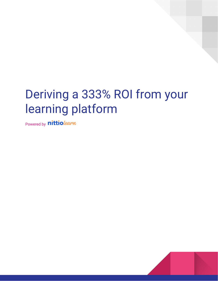# Deriving a 333% ROI from your learning platform

Powered by **nittiolearn** 

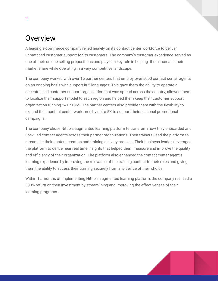# Overview

A leading e-commerce company relied heavily on its contact center workforce to deliver unmatched customer support for its customers. The company's customer experience served as one of their unique selling propositions and played a key role in helping them increase their market share while operating in a very competitive landscape.

The company worked with over 15 partner centers that employ over 5000 contact center agents on an ongoing basis with support in 5 languages. This gave them the ability to operate a decentralized customer support organization that was spread across the country, allowed them to localize their support model to each region and helped them keep their customer support organization running 24X7X365. The partner centers also provide them with the flexibility to expand their contact center workforce by up to 5X to support their seasonal promotional campaigns.

The company chose Nittio's augmented learning platform to transform how they onboarded and upskilled contact agents across their partner organizations. Their trainers used the platform to streamline their content creation and training delivery process. Their business leaders leveraged the platform to derive near real time insights that helped them measure and improve the quality and efficiency of their organization. The platform also enhanced the contact center agent's learning experience by improving the relevance of the training content to their roles and giving them the ability to access their training securely from any device of their choice.

Within 12 months of implementing Nittio's augmented learning platform, the company realized a 333% return on their investment by streamlining and improving the effectiveness of their learning programs.

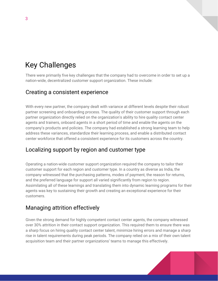# Key Challenges

There were primarily five key challenges that the company had to overcome in order to set up a nation-wide, decentralized customer support organization. These include:

## Creating a consistent experience

With every new partner, the company dealt with variance at different levels despite their robust partner screening and onboarding process. The quality of their customer support through each partner organization directly relied on the organization's ability to hire quality contact center agents and trainers, onboard agents in a short period of time and enable the agents on the company's products and policies. The company had established a strong learning team to help address these variances, standardize their learning process, and enable a distributed contact center workforce that offered a consistent experience for its customers across the country.

# Localizing support by region and customer type

Operating a nation-wide customer support organization required the company to tailor their customer support for each region and customer type. In a country as diverse as India, the company witnessed that the purchasing patterns, modes of payment, the reason for returns, and the preferred language for support all varied significantly from region to region. Assimilating all of these learnings and translating them into dynamic learning programs for their agents was key to sustaining their growth and creating an exceptional experience for their customers.

# Managing attrition effectively

Given the strong demand for highly competent contact center agents, the company witnessed over 30% attrition in their contact support organization. This required them to ensure there was a sharp focus on hiring quality contact center talent, minimize hiring errors and manage a sharp rise in talent requirements during peak periods. The company relied on a mix of their own talent acquisition team and their partner organizations' teams to manage this effectively.

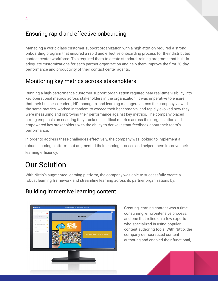# Ensuring rapid and effective onboarding

Managing a world-class customer support organization with a high attrition required a strong onboarding program that ensured a rapid and effective onboarding process for their distributed contact center workforce. This required them to create standard training programs that built-in adequate customizations for each partner organization and help them improve the first 30-day performance and productivity of their contact center agents.

# Monitoring key metrics across stakeholders

Running a high-performance customer support organization required near real-time visibility into key operational metrics across stakeholders in the organization. It was imperative to ensure that their business leaders, HR managers, and learning managers across the company viewed the same metrics, worked in tandem to exceed their benchmarks, and rapidly evolved how they were measuring and improving their performance against key metrics. The company placed strong emphasis on ensuring they tracked all critical metrics across their organization and empowered key stakeholders with the ability to derive instant feedback about their team's performance.

In order to address these challenges effectively, the company was looking to implement a robust learning platform that augmented their learning process and helped them improve their learning efficiency.

# Our Solution

With Nittio's augmented learning platform, the company was able to successfully create a robust learning framework and streamline learning across its partner organizations by:

# Building immersive learning content



Creating learning content was a time consuming, effort-intensive process, and one that relied on a few experts who specialized in using popular content authoring tools. With Nittio, the company democratized content authoring and enabled their functional,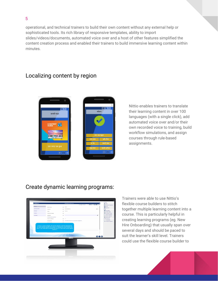operational, and technical trainers to build their own content without any external help or sophisticated tools. Its rich library of responsive templates, ability to import slides/videos/documents, automated voice over and a host of other features simplified the content creation process and enabled their trainers to build immersive learning content within minutes.

## Localizing content by region



Nittio enables trainers to translate their learning content in over 100 languages (with a single click), add automated voice over and/or their own recorded voice to training, build workflow simulations, and assign courses through rule-based assignments.

#### Create dynamic learning programs:



Trainers were able to use Nittio's flexible course builders to stitch together multiple learning content into a course. This is particularly helpful in creating learning programs (eg. New Hire Onboarding) that usually span over several days and should be paced to suit the learner's skill level. Trainers could use the flexible course builder to

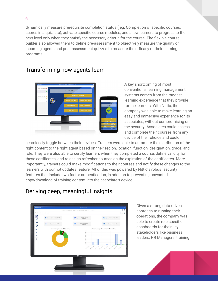dynamically measure prerequisite completion status ( eg. Completion of specific courses, scores in a quiz, etc), activate specific course modules, and allow learners to progress to the next level only when they satisfy the necessary criteria for the course. The flexible course builder also allowed them to define pre-assessment to objectively measure the quality of incoming agents and post-assessment quizzes to measure the efficacy of their learning programs.



#### Transforming how agents learn

A key shortcoming of most conventional learning management systems comes from the modest learning experience that they provide for the learners. With Nittio, the company was able to make learning an easy and immersive experience for its associates, without compromising on the security. Associates could access and complete their courses from any device of their choice and could

seamlessly toggle between their devices. Trainers were able to automate the distribution of the right content to the right agent based on their region, location, function, designation, grade, and role. They were also able to certify learners when they completed a course, define validity for these certificates, and re-assign refresher courses on the expiration of the certificates. More importantly, trainers could make modifications to their courses and notify these changes to the learners with our hot updates feature. All of this was powered by Nittio's robust security features that include two factor authentication, in addition to preventing unwanted copy/download of training content into the associate's device.

# Deriving deep, meaningful insights



Given a strong data-driven approach to running their operations, the company was able to create role-specific dashboards for their key stakeholders like business leaders, HR Managers, training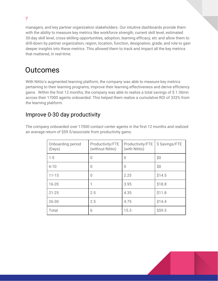managers, and key partner organization stakeholders. Our intuitive dashboards provide them with the ability to measure key metrics like workforce strength, current skill level, estimated 30-day skill level, cross-skilling opportunities, adoption, learning efficacy, etc and allow them to drill-down by partner organization, region, location, function, designation, grade, and role to gain deeper insights into these metrics. This allowed them to track and impact all the key metrics that mattered, in real-time.

# **Outcomes**

With Nittio's augmented learning platform, the company was able to measure key metrics pertaining to their learning programs, improve their learning effectiveness and derive efficiency gains. Within the first 12 months, the company was able to realize a total savings of \$ 1.36mn across their 17000 agents onboarded. This helped them realize a cumulative ROI of 333% from the learning platform.

## Improve 0-30 day productivity

The company onboarded over 17000 contact center agents in the first 12 months and realized an average return of \$59.5/associate from productivity gains.

| Onboarding period<br>(Days) | Productivity/FTE<br>(without Nittio) | Productivity/FTE<br>(with Nittio) | \$ Savings/FTE |
|-----------------------------|--------------------------------------|-----------------------------------|----------------|
| $1 - 5$                     | O                                    | 0                                 | \$0            |
| $6 - 10$                    | 0                                    | 0                                 | \$0            |
| $11 - 15$                   | 0                                    | 2.25                              | \$14.5         |
| $16 - 20$                   | 1                                    | 3.95                              | \$18.8         |
| $21 - 25$                   | 2.5                                  | 4.35                              | \$11.8         |
| $26 - 30$                   | 2.5                                  | 4.75                              | \$14.4         |
| Total                       | 6                                    | 15.3                              | \$59.5         |